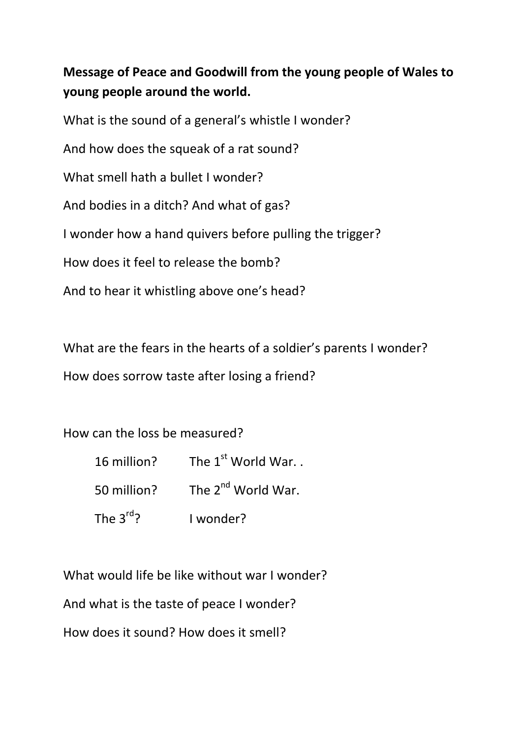## **Message of Peace and Goodwill from the young people of Wales to young people around the world.**

What is the sound of a general's whistle I wonder? And how does the squeak of a rat sound? What smell hath a bullet I wonder? And bodies in a ditch? And what of gas? I wonder how a hand quivers before pulling the trigger? How does it feel to release the bomb? And to hear it whistling above one's head?

What are the fears in the hearts of a soldier's parents I wonder? How does sorrow taste after losing a friend?

How can the loss be measured?

| 16 million?             | The 1 <sup>st</sup> World War  |
|-------------------------|--------------------------------|
| 50 million?             | The 2 <sup>nd</sup> World War. |
| The 3 $\mathrm{^{rd}2}$ | I wonder?                      |

What would life be like without war I wonder?

And what is the taste of peace I wonder?

How does it sound? How does it smell?